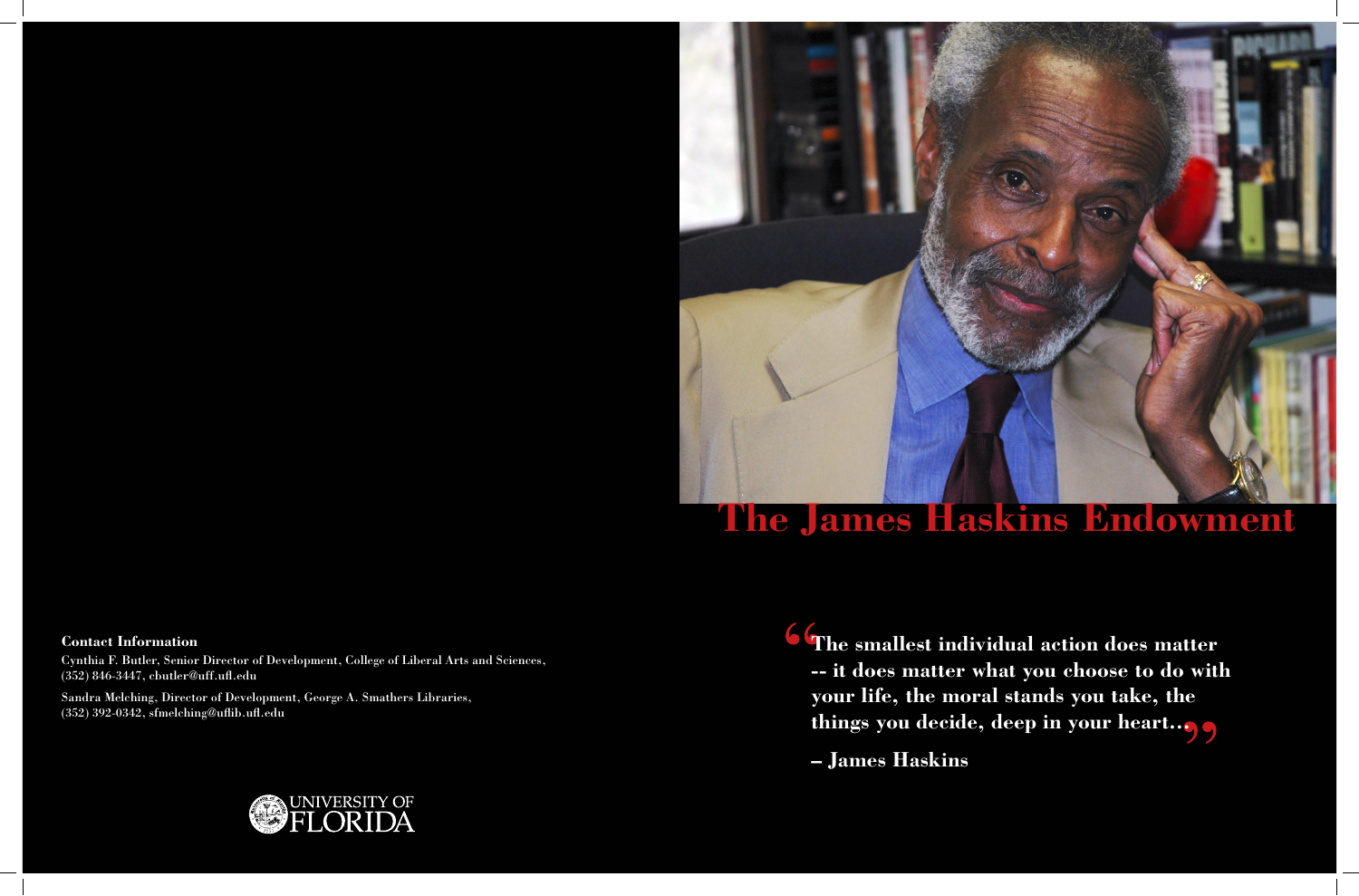

# **The James Haskins Endowment**

**The smallest individual action does matter -- it does matter what you choose to do with your life, the moral stands you take, the things you decide, deep in your heart…**

**– James Haskins**



### **Contact Information**

Cynthia F. Butler, Senior Director of Development, College of Liberal Arts and Sciences, (352) 846-3447, cbutler@uff.ufl.edu

Sandra Melching, Director of Development, George A. Smathers Libraries, (352) 392-0342, sfmelching@uflib.ufl.edu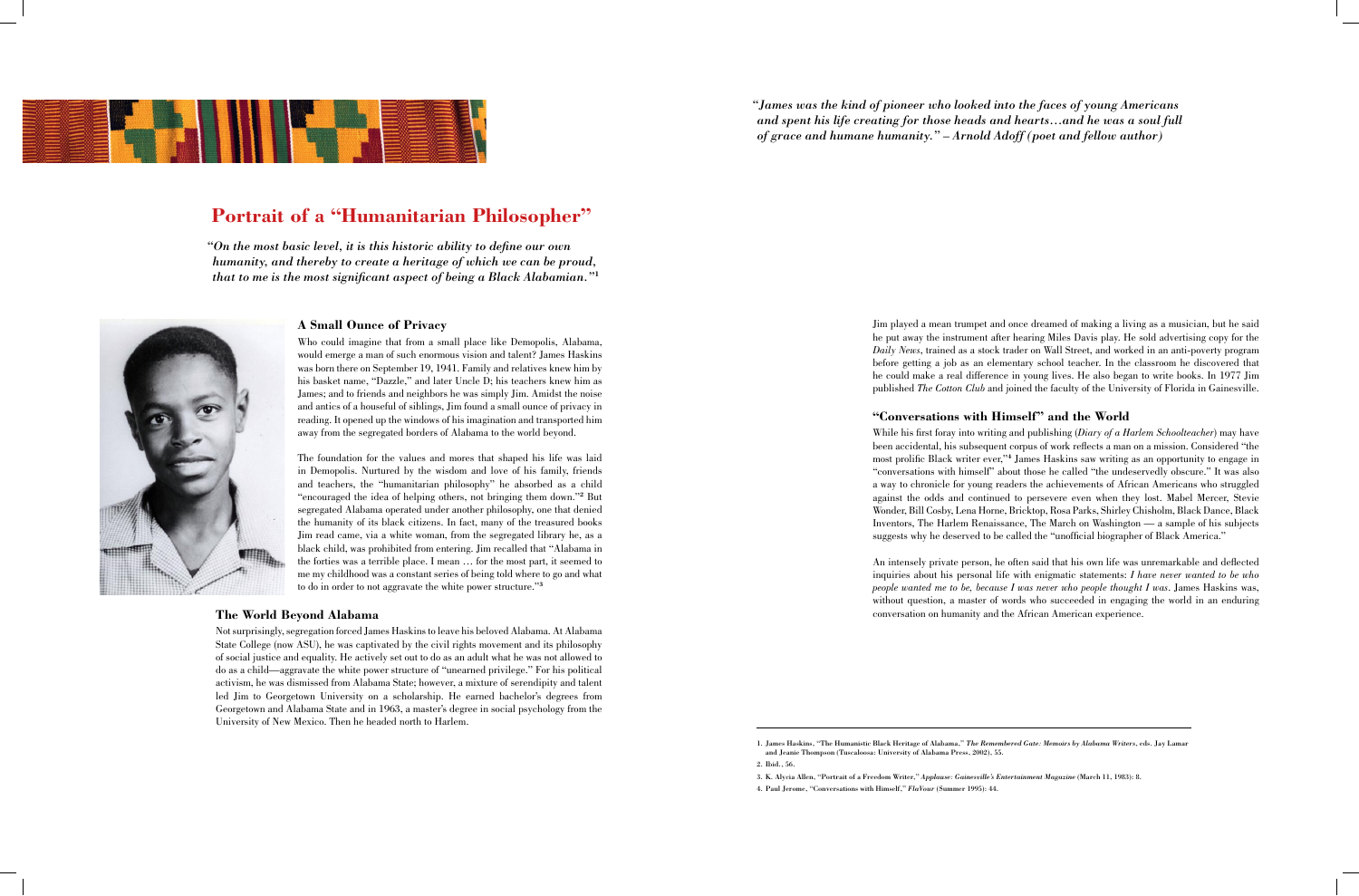### **A Small Ounce of Privacy**

Who could imagine that from a small place like Demopolis, Alabama, would emerge a man of such enormous vision and talent? James Haskins was born there on September 19, 1941. Family and relatives knew him by his basket name, "Dazzle," and later Uncle D; his teachers knew him as James; and to friends and neighbors he was simply Jim. Amidst the noise and antics of a houseful of siblings, Jim found a small ounce of privacy in reading. It opened up the windows of his imagination and transported him away from the segregated borders of Alabama to the world beyond.

The foundation for the values and mores that shaped his life was laid in Demopolis. Nurtured by the wisdom and love of his family, friends and teachers, the "humanitarian philosophy" he absorbed as a child "encouraged the idea of helping others, not bringing them down."**2** But segregated Alabama operated under another philosophy, one that denied the humanity of its black citizens. In fact, many of the treasured books Jim read came, via a white woman, from the segregated library he, as a black child, was prohibited from entering. Jim recalled that "Alabama in the forties was a terrible place. I mean … for the most part, it seemed to me my childhood was a constant series of being told where to go and what to do in order to not aggravate the white power structure."**<sup>3</sup>**

#### **The World Beyond Alabama**

Not surprisingly, segregation forced James Haskins to leave his beloved Alabama. At Alabama State College (now ASU), he was captivated by the civil rights movement and its philosophy of social justice and equality. He actively set out to do as an adult what he was not allowed to do as a child—aggravate the white power structure of "unearned privilege." For his political activism, he was dismissed from Alabama State; however, a mixture of serendipity and talent led Jim to Georgetown University on a scholarship. He earned bachelor's degrees from Georgetown and Alabama State and in 1963, a master's degree in social psychology from the University of New Mexico. Then he headed north to Harlem.

Jim played a mean trumpet and once dreamed of making a living as a musician, but he said he put away the instrument after hearing Miles Davis play. He sold advertising copy for the *Daily News*, trained as a stock trader on Wall Street, and worked in an anti-poverty program before getting a job as an elementary school teacher. In the classroom he discovered that he could make a real difference in young lives. He also began to write books. In 1977 Jim published *The Cotton Club* and joined the faculty of the University of Florida in Gainesville.

### **"Conversations with Himself" and the World**

While his first foray into writing and publishing (*Diary of a Harlem Schoolteacher*) may have been accidental, his subsequent corpus of work reflects a man on a mission. Considered "the most prolific Black writer ever,"**4** James Haskins saw writing as an opportunity to engage in "conversations with himself" about those he called "the undeservedly obscure." It was also a way to chronicle for young readers the achievements of African Americans who struggled against the odds and continued to persevere even when they lost. Mabel Mercer, Stevie Wonder, Bill Cosby, Lena Horne, Bricktop, Rosa Parks, Shirley Chisholm, Black Dance, Black Inventors, The Harlem Renaissance, The March on Washington — a sample of his subjects suggests why he deserved to be called the "unofficial biographer of Black America."

An intensely private person, he often said that his own life was unremarkable and deflected inquiries about his personal life with enigmatic statements: *I have never wanted to be who people wanted me to be, because I was never who people thought I was*. James Haskins was, without question, a master of words who succeeded in engaging the world in an enduring conversation on humanity and the African American experience.

## **Portrait of a "Humanitarian Philosopher"**

*"On the most basic level, it is this historic ability to define our own humanity, and thereby to create a heritage of which we can be proud, that to me is the most significant aspect of being a Black Alabamian."***<sup>1</sup>**





*"James was the kind of pioneer who looked into the faces of young Americans and spent his life creating for those heads and hearts…and he was a soul full of grace and humane humanity." – Arnold Adoff (poet and fellow author)*

<sup>1.</sup> James Haskins, "The Humanistic Black Heritage of Alabama," *The Remembered Gate: Memoirs by Alabama Writers*, eds. Jay Lamar and Jeanie Thompson (Tuscaloosa: University of Alabama Press, 2002), 55. 2. Ibid., 56.

<sup>3.</sup> K. Alycia Allen, "Portrait of a Freedom Writer," *Applause: Gainesville's Entertainment Magazine* (March 11, 1983): 8. 4. Paul Jerome, "Conversations with Himself," *FlaVour* (Summer 1995): 44.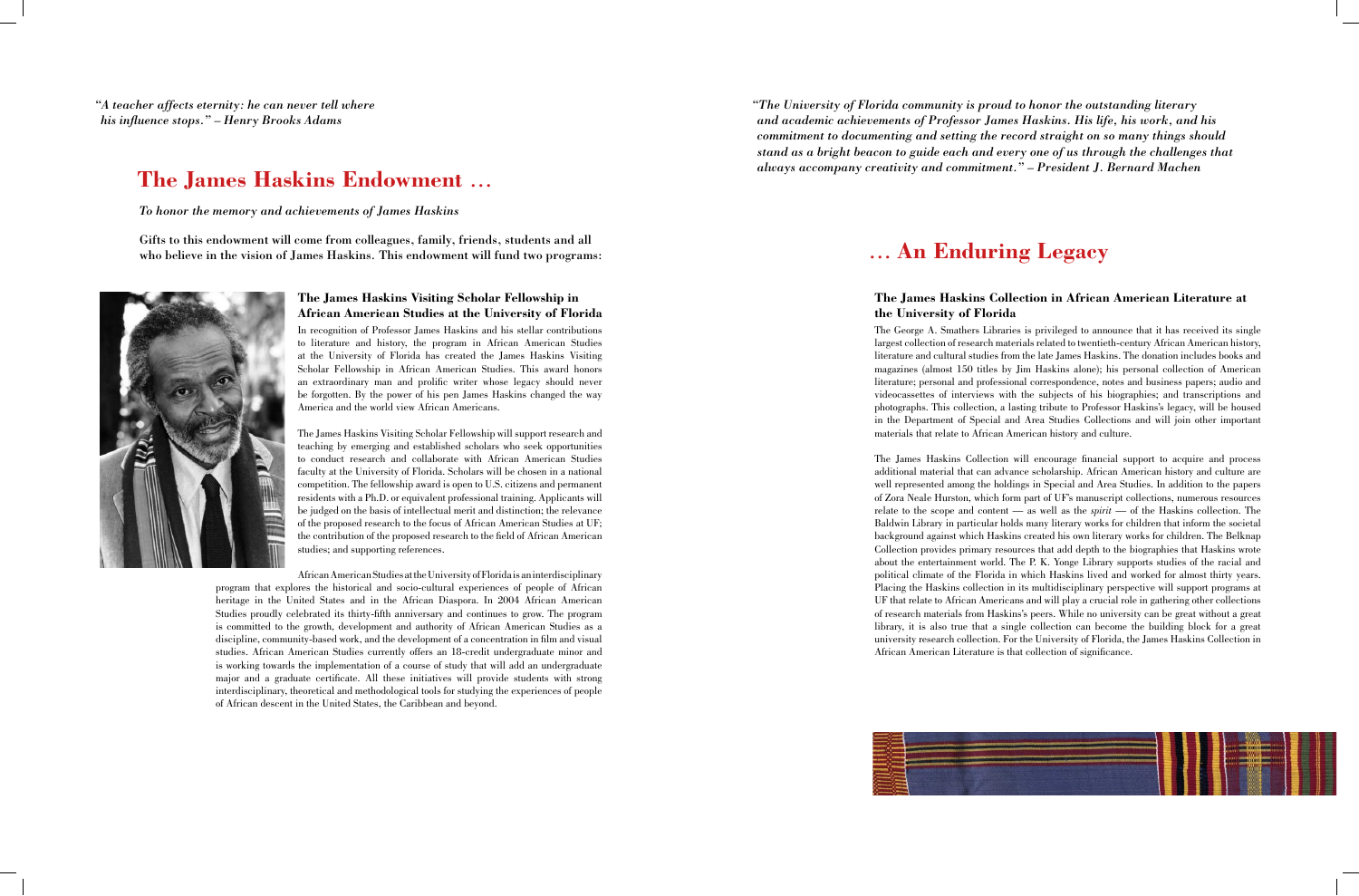### **The James Haskins Visiting Scholar Fellowship in African American Studies at the University of Florida**

In recognition of Professor James Haskins and his stellar contributions to literature and history, the program in African American Studies at the University of Florida has created the James Haskins Visiting Scholar Fellowship in African American Studies. This award honors an extraordinary man and prolific writer whose legacy should never be forgotten. By the power of his pen James Haskins changed the way America and the world view African Americans.

The James Haskins Visiting Scholar Fellowship will support research and teaching by emerging and established scholars who seek opportunities to conduct research and collaborate with African American Studies faculty at the University of Florida. Scholars will be chosen in a national competition. The fellowship award is open to U.S. citizens and permanent residents with a Ph.D. or equivalent professional training. Applicants will be judged on the basis of intellectual merit and distinction; the relevance of the proposed research to the focus of African American Studies at UF; the contribution of the proposed research to the field of African American studies; and supporting references.

African American Studies at the University of Florida is an interdisciplinary program that explores the historical and socio-cultural experiences of people of African heritage in the United States and in the African Diaspora. In 2004 African American Studies proudly celebrated its thirty-fifth anniversary and continues to grow. The program is committed to the growth, development and authority of African American Studies as a discipline, community-based work, and the development of a concentration in film and visual studies. African American Studies currently offers an 18-credit undergraduate minor and is working towards the implementation of a course of study that will add an undergraduate major and a graduate certificate. All these initiatives will provide students with strong interdisciplinary, theoretical and methodological tools for studying the experiences of people of African descent in the United States, the Caribbean and beyond.

*"A teacher affects eternity: he can never tell where his influence stops." – Henry Brooks Adams*

### **The James Haskins Collection in African American Literature at the University of Florida**

Gifts to this endowment will come from colleagues, family, friends, students and all who believe in the vision of James Haskins. This endowment will fund two programs: **An Enduring Legacy** 



The George A. Smathers Libraries is privileged to announce that it has received its single largest collection of research materials related to twentieth-century African American history, literature and cultural studies from the late James Haskins. The donation includes books and magazines (almost 150 titles by Jim Haskins alone); his personal collection of American literature; personal and professional correspondence, notes and business papers; audio and videocassettes of interviews with the subjects of his biographies; and transcriptions and photographs. This collection, a lasting tribute to Professor Haskins's legacy, will be housed in the Department of Special and Area Studies Collections and will join other important materials that relate to African American history and culture.

The James Haskins Collection will encourage financial support to acquire and process additional material that can advance scholarship. African American history and culture are well represented among the holdings in Special and Area Studies. In addition to the papers of Zora Neale Hurston, which form part of UF's manuscript collections, numerous resources relate to the scope and content — as well as the *spirit* — of the Haskins collection. The Baldwin Library in particular holds many literary works for children that inform the societal background against which Haskins created his own literary works for children. The Belknap Collection provides primary resources that add depth to the biographies that Haskins wrote about the entertainment world. The P. K. Yonge Library supports studies of the racial and political climate of the Florida in which Haskins lived and worked for almost thirty years. Placing the Haskins collection in its multidisciplinary perspective will support programs at UF that relate to African Americans and will play a crucial role in gathering other collections of research materials from Haskins's peers. While no university can be great without a great library, it is also true that a single collection can become the building block for a great university research collection. For the University of Florida, the James Haskins Collection in African American Literature is that collection of significance.



## **The James Haskins Endowment** …

*To honor the memory and achievements of James Haskins*

*"The University of Florida community is proud to honor the outstanding literary and academic achievements of Professor James Haskins. His life, his work, and his commitment to documenting and setting the record straight on so many things should stand as a bright beacon to guide each and every one of us through the challenges that always accompany creativity and commitment." – President J. Bernard Machen*